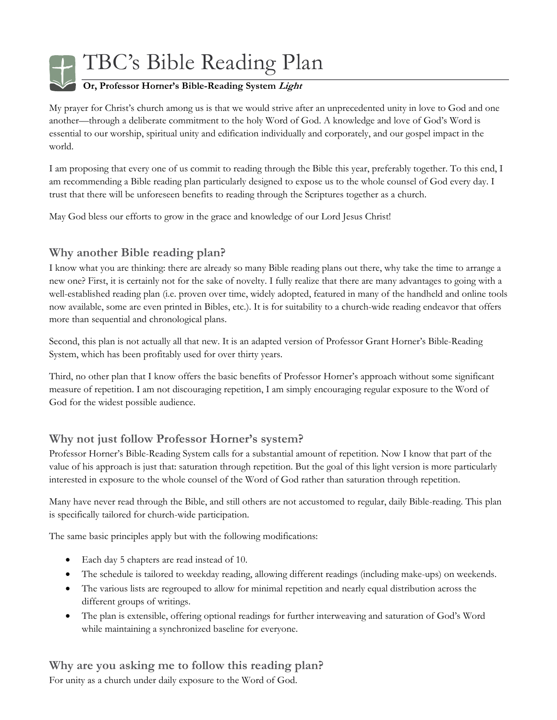

TBC's Bible Reading Plan

### **Or, Professor Horner's Bible-Reading System Light**

My prayer for Christ's church among us is that we would strive after an unprecedented unity in love to God and one another—through a deliberate commitment to the holy Word of God. A knowledge and love of God's Word is essential to our worship, spiritual unity and edification individually and corporately, and our gospel impact in the world.

I am proposing that every one of us commit to reading through the Bible this year, preferably together. To this end, I am recommending a Bible reading plan particularly designed to expose us to the whole counsel of God every day. I trust that there will be unforeseen benefits to reading through the Scriptures together as a church.

May God bless our efforts to grow in the grace and knowledge of our Lord Jesus Christ!

# **Why another Bible reading plan?**

I know what you are thinking: there are already so many Bible reading plans out there, why take the time to arrange a new one? First, it is certainly not for the sake of novelty. I fully realize that there are many advantages to going with a well-established reading plan (i.e. proven over time, widely adopted, featured in many of the handheld and online tools now available, some are even printed in Bibles, etc.). It is for suitability to a church-wide reading endeavor that offers more than sequential and chronological plans.

Second, this plan is not actually all that new. It is an adapted version of Professor Grant Horner's Bible-Reading System, which has been profitably used for over thirty years.

Third, no other plan that I know offers the basic benefits of Professor Horner's approach without some significant measure of repetition. I am not discouraging repetition, I am simply encouraging regular exposure to the Word of God for the widest possible audience.

# **Why not just follow Professor Horner's system?**

Professor Horner's Bible-Reading System calls for a substantial amount of repetition. Now I know that part of the value of his approach is just that: saturation through repetition. But the goal of this light version is more particularly interested in exposure to the whole counsel of the Word of God rather than saturation through repetition.

Many have never read through the Bible, and still others are not accustomed to regular, daily Bible-reading. This plan is specifically tailored for church-wide participation.

The same basic principles apply but with the following modifications:

- Each day 5 chapters are read instead of 10.
- The schedule is tailored to weekday reading, allowing different readings (including make-ups) on weekends.
- The various lists are regrouped to allow for minimal repetition and nearly equal distribution across the different groups of writings.
- The plan is extensible, offering optional readings for further interweaving and saturation of God's Word while maintaining a synchronized baseline for everyone.

**Why are you asking me to follow this reading plan?**  For unity as a church under daily exposure to the Word of God.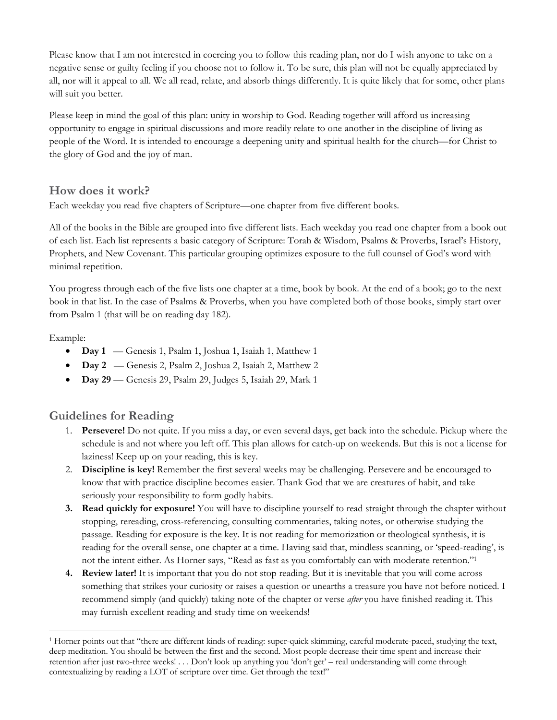Please know that I am not interested in coercing you to follow this reading plan, nor do I wish anyone to take on a negative sense or guilty feeling if you choose not to follow it. To be sure, this plan will not be equally appreciated by all, nor will it appeal to all. We all read, relate, and absorb things differently. It is quite likely that for some, other plans will suit you better.

Please keep in mind the goal of this plan: unity in worship to God. Reading together will afford us increasing opportunity to engage in spiritual discussions and more readily relate to one another in the discipline of living as people of the Word. It is intended to encourage a deepening unity and spiritual health for the church—for Christ to the glory of God and the joy of man.

#### **How does it work?**

Each weekday you read five chapters of Scripture—one chapter from five different books.

All of the books in the Bible are grouped into five different lists. Each weekday you read one chapter from a book out of each list. Each list represents a basic category of Scripture: Torah & Wisdom, Psalms & Proverbs, Israel's History, Prophets, and New Covenant. This particular grouping optimizes exposure to the full counsel of God's word with minimal repetition.

You progress through each of the five lists one chapter at a time, book by book. At the end of a book; go to the next book in that list. In the case of Psalms & Proverbs, when you have completed both of those books, simply start over from Psalm 1 (that will be on reading day 182).

Example:

-

- **Day 1** Genesis 1, Psalm 1, Joshua 1, Isaiah 1, Matthew 1
- **Day 2** Genesis 2, Psalm 2, Joshua 2, Isaiah 2, Matthew 2
- **Day 29** Genesis 29, Psalm 29, Judges 5, Isaiah 29, Mark 1

### **Guidelines for Reading**

- 1. **Persevere!** Do not quite. If you miss a day, or even several days, get back into the schedule. Pickup where the schedule is and not where you left off. This plan allows for catch-up on weekends. But this is not a license for laziness! Keep up on your reading, this is key.
- 2. **Discipline is key!** Remember the first several weeks may be challenging. Persevere and be encouraged to know that with practice discipline becomes easier. Thank God that we are creatures of habit, and take seriously your responsibility to form godly habits.
- **3. Read quickly for exposure!** You will have to discipline yourself to read straight through the chapter without stopping, rereading, cross-referencing, consulting commentaries, taking notes, or otherwise studying the passage. Reading for exposure is the key. It is not reading for memorization or theological synthesis, it is reading for the overall sense, one chapter at a time. Having said that, mindless scanning, or 'speed-reading', is not the intent either. As Horner says, "Read as fast as you comfortably can with moderate retention."1
- **4. Review later!** It is important that you do not stop reading. But it is inevitable that you will come across something that strikes your curiosity or raises a question or unearths a treasure you have not before noticed. I recommend simply (and quickly) taking note of the chapter or verse *after* you have finished reading it. This may furnish excellent reading and study time on weekends!

<sup>1</sup> Horner points out that "there are different kinds of reading: super-quick skimming, careful moderate-paced, studying the text, deep meditation. You should be between the first and the second. Most people decrease their time spent and increase their retention after just two-three weeks! . . . Don't look up anything you 'don't get' – real understanding will come through contextualizing by reading a LOT of scripture over time. Get through the text!"